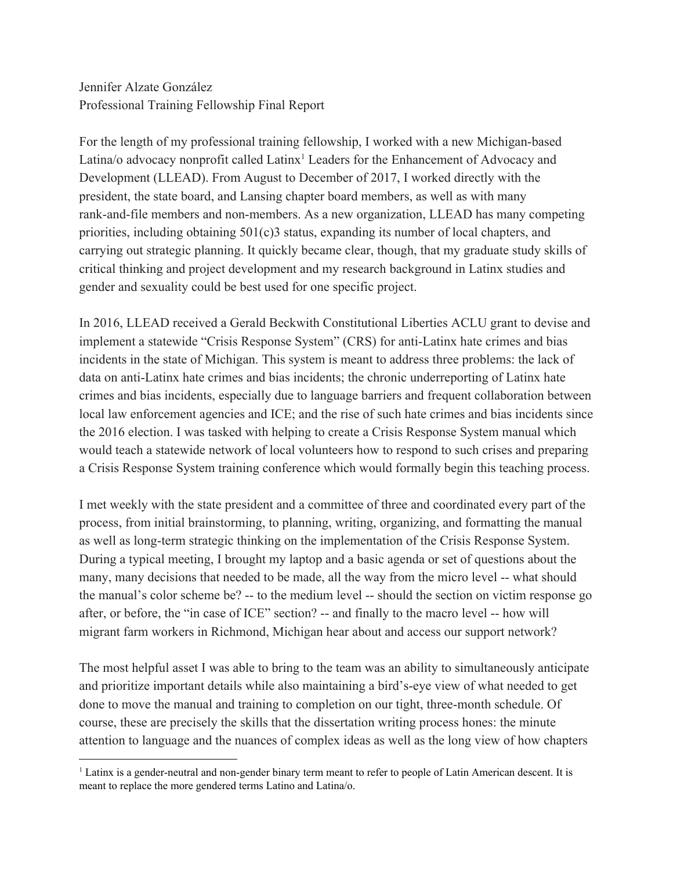Jennifer Alzate González Professional Training Fellowship Final Report

For the length of my professional training fellowship, I worked with a new Michigan-based Latina/o advocacy nonprofit called Latinx<sup>1</sup> Leaders for the Enhancement of Advocacy and Development (LLEAD). From August to December of 2017, I worked directly with the president, the state board, and Lansing chapter board members, as well as with many rank-and-file members and non-members. As a new organization, LLEAD has many competing priorities, including obtaining  $501(c)$  status, expanding its number of local chapters, and carrying out strategic planning. It quickly became clear, though, that my graduate study skills of critical thinking and project development and my research background in Latinx studies and gender and sexuality could be best used for one specific project.

In 2016, LLEAD received a Gerald Beckwith Constitutional Liberties ACLU grant to devise and implement a statewide "Crisis Response System" (CRS) for anti-Latinx hate crimes and bias incidents in the state of Michigan. This system is meant to address three problems: the lack of data on anti-Latinx hate crimes and bias incidents; the chronic underreporting of Latinx hate crimes and bias incidents, especially due to language barriers and frequent collaboration between local law enforcement agencies and ICE; and the rise of such hate crimes and bias incidents since the 2016 election. I was tasked with helping to create a Crisis Response System manual which would teach a statewide network of local volunteers how to respond to such crises and preparing a Crisis Response System training conference which would formally begin this teaching process.

I met weekly with the state president and a committee of three and coordinated every part of the process, from initial brainstorming, to planning, writing, organizing, and formatting the manual as well as long-term strategic thinking on the implementation of the Crisis Response System. During a typical meeting, I brought my laptop and a basic agenda or set of questions about the many, many decisions that needed to be made, all the way from the micro level -- what should the manual's color scheme be? -- to the medium level -- should the section on victim response go after, or before, the "in case of ICE" section? -- and finally to the macro level -- how will migrant farm workers in Richmond, Michigan hear about and access our support network?

The most helpful asset I was able to bring to the team was an ability to simultaneously anticipate and prioritize important details while also maintaining a bird's-eye view of what needed to get done to move the manual and training to completion on our tight, three-month schedule. Of course, these are precisely the skills that the dissertation writing process hones: the minute attention to language and the nuances of complex ideas as well as the long view of how chapters

<sup>&</sup>lt;sup>1</sup> Latinx is a gender-neutral and non-gender binary term meant to refer to people of Latin American descent. It is meant to replace the more gendered terms Latino and Latina/o.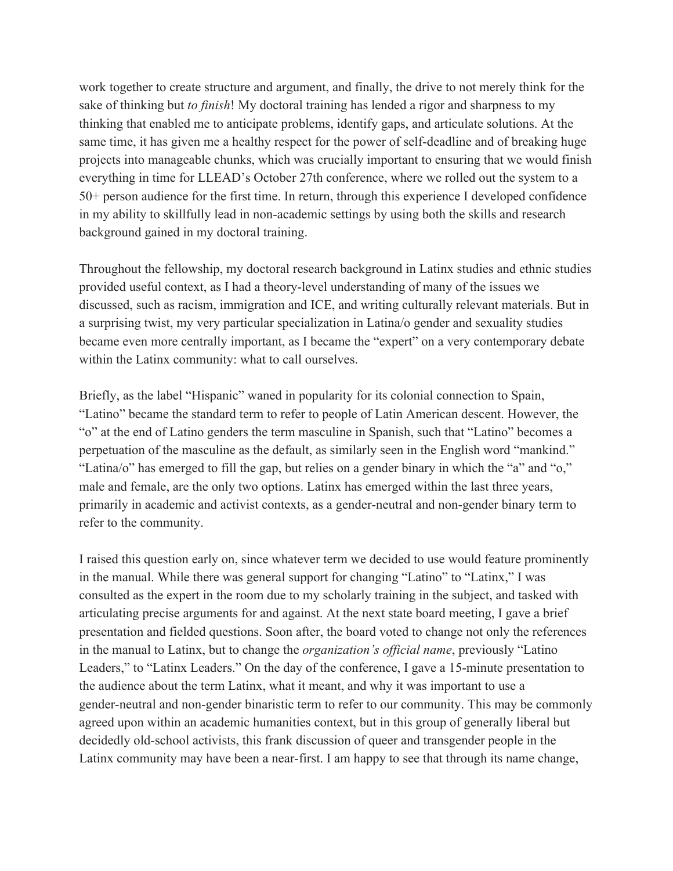work together to create structure and argument, and finally, the drive to not merely think for the sake of thinking but *to finish*! My doctoral training has lended a rigor and sharpness to my thinking that enabled me to anticipate problems, identify gaps, and articulate solutions. At the same time, it has given me a healthy respect for the power of self-deadline and of breaking huge projects into manageable chunks, which was crucially important to ensuring that we would finish everything in time for LLEAD's October 27th conference, where we rolled out the system to a 50+ person audience for the first time. In return, through this experience I developed confidence in my ability to skillfully lead in non-academic settings by using both the skills and research background gained in my doctoral training.

Throughout the fellowship, my doctoral research background in Latinx studies and ethnic studies provided useful context, as I had a theory-level understanding of many of the issues we discussed, such as racism, immigration and ICE, and writing culturally relevant materials. But in a surprising twist, my very particular specialization in Latina/o gender and sexuality studies became even more centrally important, as I became the "expert" on a very contemporary debate within the Latinx community: what to call ourselves.

Briefly, as the label "Hispanic" waned in popularity for its colonial connection to Spain, "Latino" became the standard term to refer to people of Latin American descent. However, the "o" at the end of Latino genders the term masculine in Spanish, such that "Latino" becomes a perpetuation of the masculine as the default, as similarly seen in the English word "mankind." "Latina/o" has emerged to fill the gap, but relies on a gender binary in which the "a" and "o," male and female, are the only two options. Latinx has emerged within the last three years, primarily in academic and activist contexts, as a gender-neutral and non-gender binary term to refer to the community.

I raised this question early on, since whatever term we decided to use would feature prominently in the manual. While there was general support for changing "Latino" to "Latinx," I was consulted as the expert in the room due to my scholarly training in the subject, and tasked with articulating precise arguments for and against. At the next state board meeting, I gave a brief presentation and fielded questions. Soon after, the board voted to change not only the references in the manual to Latinx, but to change the *organization's official name*, previously "Latino Leaders," to "Latinx Leaders." On the day of the conference, I gave a 15-minute presentation to the audience about the term Latinx, what it meant, and why it was important to use a gender-neutral and non-gender binaristic term to refer to our community. This may be commonly agreed upon within an academic humanities context, but in this group of generally liberal but decidedly old-school activists, this frank discussion of queer and transgender people in the Latinx community may have been a near-first. I am happy to see that through its name change,